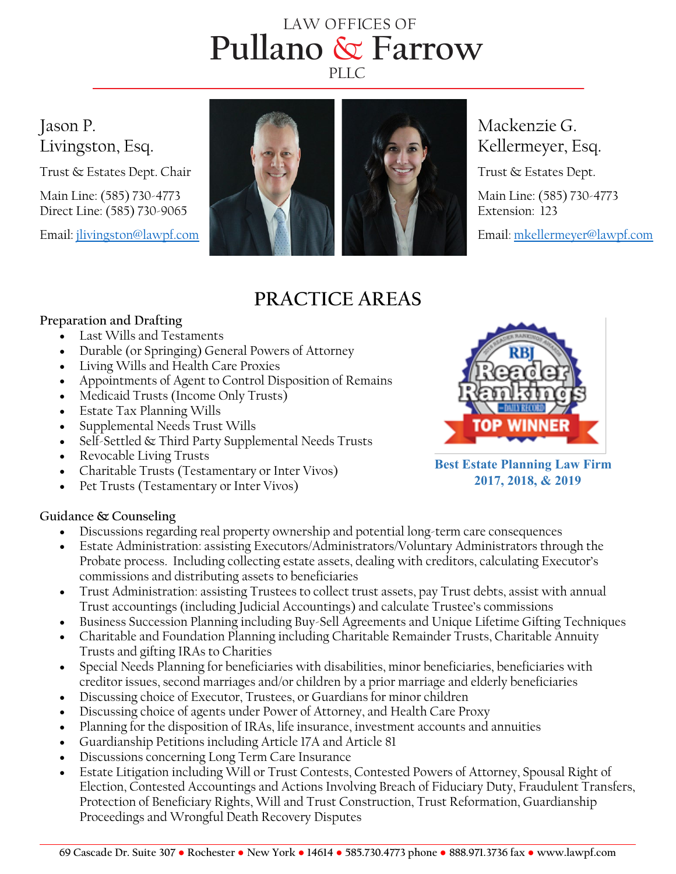# **Pullano** & **Farrow** LAW OFFICES OF PLLC.



## **PRACTICE AREAS**

### **Preparation and Drafting**

- Last Wills and Testaments
- Durable (or Springing) General Powers of Attorney
- Living Wills and Health Care Proxies
- Appointments of Agent to Control Disposition of Remains
- Medicaid Trusts (Income Only Trusts)
- Estate Tax Planning Wills
- Supplemental Needs Trust Wills
- Self-Settled & Third Party Supplemental Needs Trusts
- Revocable Living Trusts
- Charitable Trusts (Testamentary or Inter Vivos)
- Pet Trusts (Testamentary or Inter Vivos)

### **Guidance & Counseling**

- Discussions regarding real property ownership and potential long-term care consequences
- Estate Administration: assisting Executors/Administrators/Voluntary Administrators through the Probate process. Including collecting estate assets, dealing with creditors, calculating Executor's commissions and distributing assets to beneficiaries
- Trust Administration: assisting Trustees to collect trust assets, pay Trust debts, assist with annual Trust accountings (including Judicial Accountings) and calculate Trustee's commissions
- Business Succession Planning including Buy-Sell Agreements and Unique Lifetime Gifting Techniques
- Charitable and Foundation Planning including Charitable Remainder Trusts, Charitable Annuity Trusts and gifting IRAs to Charities
- Special Needs Planning for beneficiaries with disabilities, minor beneficiaries, beneficiaries with creditor issues, second marriages and/or children by a prior marriage and elderly beneficiaries
- Discussing choice of Executor, Trustees, or Guardians for minor children
- Discussing choice of agents under Power of Attorney, and Health Care Proxy
- Planning for the disposition of IRAs, life insurance, investment accounts and annuities
- Guardianship Petitions including Article 17A and Article 81
- Discussions concerning Long Term Care Insurance
- Estate Litigation including Will or Trust Contests, Contested Powers of Attorney, Spousal Right of Election, Contested Accountings and Actions Involving Breach of Fiduciary Duty, Fraudulent Transfers, Protection of Beneficiary Rights, Will and Trust Construction, Trust Reformation, Guardianship Proceedings and Wrongful Death Recovery Disputes



**Best Estate Planning Law Firm 2017, 2018, & 2019**